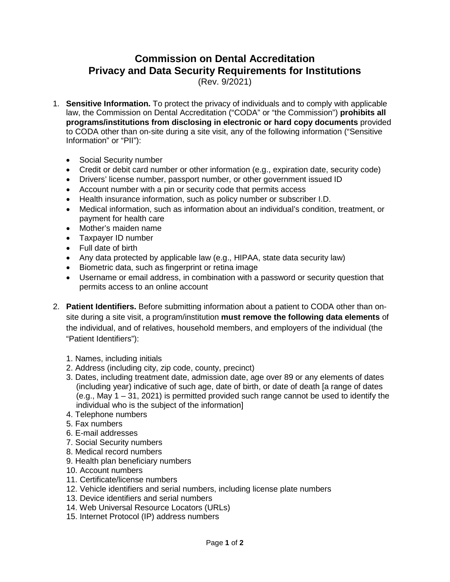## **Commission on Dental Accreditation Privacy and Data Security Requirements for Institutions**

(Rev. 9/2021)

- 1. **Sensitive Information.** To protect the privacy of individuals and to comply with applicable law, the Commission on Dental Accreditation ("CODA" or "the Commission") **prohibits all programs/institutions from disclosing in electronic or hard copy documents** provided to CODA other than on-site during a site visit, any of the following information ("Sensitive Information" or "PII"):
	- Social Security number
	- Credit or debit card number or other information (e.g., expiration date, security code)
	- Drivers' license number, passport number, or other government issued ID
	- Account number with a pin or security code that permits access
	- Health insurance information, such as policy number or subscriber I.D.
	- Medical information, such as information about an individual's condition, treatment, or payment for health care
	- Mother's maiden name
	- Taxpayer ID number
	- Full date of birth
	- Any data protected by applicable law (e.g., HIPAA, state data security law)
	- Biometric data, such as fingerprint or retina image
	- Username or email address, in combination with a password or security question that permits access to an online account
- 2. **Patient Identifiers.** Before submitting information about a patient to CODA other than onsite during a site visit, a program/institution **must remove the following data elements** of the individual, and of relatives, household members, and employers of the individual (the "Patient Identifiers"):
	- 1. Names, including initials
	- 2. Address (including city, zip code, county, precinct)
	- 3. Dates, including treatment date, admission date, age over 89 or any elements of dates (including year) indicative of such age, date of birth, or date of death [a range of dates (e.g., May 1 – 31, 2021) is permitted provided such range cannot be used to identify the individual who is the subject of the information]
	- 4. Telephone numbers
	- 5. Fax numbers
	- 6. E-mail addresses
	- 7. Social Security numbers
	- 8. Medical record numbers
	- 9. Health plan beneficiary numbers
	- 10. Account numbers
	- 11. Certificate/license numbers
	- 12. Vehicle identifiers and serial numbers, including license plate numbers
	- 13. Device identifiers and serial numbers
	- 14. Web Universal Resource Locators (URLs)
	- 15. Internet Protocol (IP) address numbers